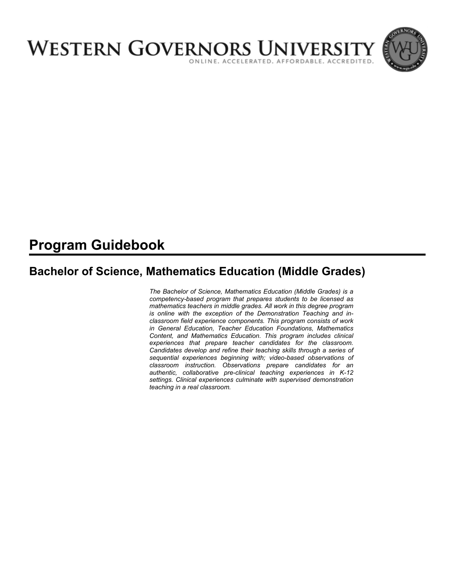

# **Program Guidebook**

# **Bachelor of Science, Mathematics Education (Middle Grades)**

*The Bachelor of Science, Mathematics Education (Middle Grades) is a competency-based program that prepares students to be licensed as mathematics teachers in middle grades. All work in this degree program is online with the exception of the Demonstration Teaching and inclassroom field experience components. This program consists of work in General Education, Teacher Education Foundations, Mathematics Content, and Mathematics Education. This program includes clinical experiences that prepare teacher candidates for the classroom. Candidates develop and refine their teaching skills through a series of sequential experiences beginning with; video-based observations of classroom instruction. Observations prepare candidates for an authentic, collaborative pre-clinical teaching experiences in K-12 settings. Clinical experiences culminate with supervised demonstration teaching in a real classroom.*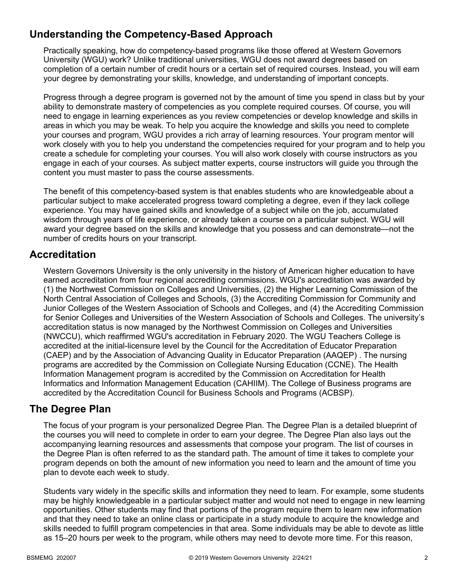## **Understanding the Competency-Based Approach**

Practically speaking, how do competency-based programs like those offered at Western Governors University (WGU) work? Unlike traditional universities, WGU does not award degrees based on completion of a certain number of credit hours or a certain set of required courses. Instead, you will earn your degree by demonstrating your skills, knowledge, and understanding of important concepts.

Progress through a degree program is governed not by the amount of time you spend in class but by your ability to demonstrate mastery of competencies as you complete required courses. Of course, you will need to engage in learning experiences as you review competencies or develop knowledge and skills in areas in which you may be weak. To help you acquire the knowledge and skills you need to complete your courses and program, WGU provides a rich array of learning resources. Your program mentor will work closely with you to help you understand the competencies required for your program and to help you create a schedule for completing your courses. You will also work closely with course instructors as you engage in each of your courses. As subject matter experts, course instructors will guide you through the content you must master to pass the course assessments.

The benefit of this competency-based system is that enables students who are knowledgeable about a particular subject to make accelerated progress toward completing a degree, even if they lack college experience. You may have gained skills and knowledge of a subject while on the job, accumulated wisdom through years of life experience, or already taken a course on a particular subject. WGU will award your degree based on the skills and knowledge that you possess and can demonstrate—not the number of credits hours on your transcript.

## **Accreditation**

Western Governors University is the only university in the history of American higher education to have earned accreditation from four regional accrediting commissions. WGU's accreditation was awarded by (1) the Northwest Commission on Colleges and Universities, (2) the Higher Learning Commission of the North Central Association of Colleges and Schools, (3) the Accrediting Commission for Community and Junior Colleges of the Western Association of Schools and Colleges, and (4) the Accrediting Commission for Senior Colleges and Universities of the Western Association of Schools and Colleges. The university's accreditation status is now managed by the Northwest Commission on Colleges and Universities (NWCCU), which reaffirmed WGU's accreditation in February 2020. The WGU Teachers College is accredited at the initial-licensure level by the Council for the Accreditation of Educator Preparation (CAEP) and by the Association of Advancing Quality in Educator Preparation (AAQEP) . The nursing programs are accredited by the Commission on Collegiate Nursing Education (CCNE). The Health Information Management program is accredited by the Commission on Accreditation for Health Informatics and Information Management Education (CAHIIM). The College of Business programs are accredited by the Accreditation Council for Business Schools and Programs (ACBSP).

## **The Degree Plan**

The focus of your program is your personalized Degree Plan. The Degree Plan is a detailed blueprint of the courses you will need to complete in order to earn your degree. The Degree Plan also lays out the accompanying learning resources and assessments that compose your program. The list of courses in the Degree Plan is often referred to as the standard path. The amount of time it takes to complete your program depends on both the amount of new information you need to learn and the amount of time you plan to devote each week to study.

Students vary widely in the specific skills and information they need to learn. For example, some students may be highly knowledgeable in a particular subject matter and would not need to engage in new learning opportunities. Other students may find that portions of the program require them to learn new information and that they need to take an online class or participate in a study module to acquire the knowledge and skills needed to fulfill program competencies in that area. Some individuals may be able to devote as little as 15–20 hours per week to the program, while others may need to devote more time. For this reason,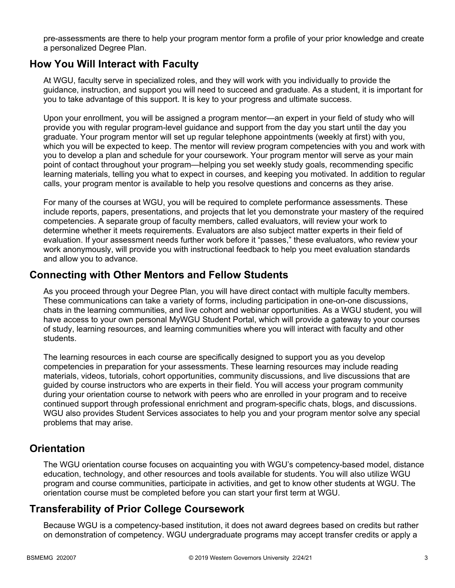pre-assessments are there to help your program mentor form a profile of your prior knowledge and create a personalized Degree Plan.

### **How You Will Interact with Faculty**

At WGU, faculty serve in specialized roles, and they will work with you individually to provide the guidance, instruction, and support you will need to succeed and graduate. As a student, it is important for you to take advantage of this support. It is key to your progress and ultimate success.

Upon your enrollment, you will be assigned a program mentor—an expert in your field of study who will provide you with regular program-level guidance and support from the day you start until the day you graduate. Your program mentor will set up regular telephone appointments (weekly at first) with you, which you will be expected to keep. The mentor will review program competencies with you and work with you to develop a plan and schedule for your coursework. Your program mentor will serve as your main point of contact throughout your program—helping you set weekly study goals, recommending specific learning materials, telling you what to expect in courses, and keeping you motivated. In addition to regular calls, your program mentor is available to help you resolve questions and concerns as they arise.

For many of the courses at WGU, you will be required to complete performance assessments. These include reports, papers, presentations, and projects that let you demonstrate your mastery of the required competencies. A separate group of faculty members, called evaluators, will review your work to determine whether it meets requirements. Evaluators are also subject matter experts in their field of evaluation. If your assessment needs further work before it "passes," these evaluators, who review your work anonymously, will provide you with instructional feedback to help you meet evaluation standards and allow you to advance.

### **Connecting with Other Mentors and Fellow Students**

As you proceed through your Degree Plan, you will have direct contact with multiple faculty members. These communications can take a variety of forms, including participation in one-on-one discussions, chats in the learning communities, and live cohort and webinar opportunities. As a WGU student, you will have access to your own personal MyWGU Student Portal, which will provide a gateway to your courses of study, learning resources, and learning communities where you will interact with faculty and other students.

The learning resources in each course are specifically designed to support you as you develop competencies in preparation for your assessments. These learning resources may include reading materials, videos, tutorials, cohort opportunities, community discussions, and live discussions that are guided by course instructors who are experts in their field. You will access your program community during your orientation course to network with peers who are enrolled in your program and to receive continued support through professional enrichment and program-specific chats, blogs, and discussions. WGU also provides Student Services associates to help you and your program mentor solve any special problems that may arise.

## **Orientation**

The WGU orientation course focuses on acquainting you with WGU's competency-based model, distance education, technology, and other resources and tools available for students. You will also utilize WGU program and course communities, participate in activities, and get to know other students at WGU. The orientation course must be completed before you can start your first term at WGU.

## **Transferability of Prior College Coursework**

Because WGU is a competency-based institution, it does not award degrees based on credits but rather on demonstration of competency. WGU undergraduate programs may accept transfer credits or apply a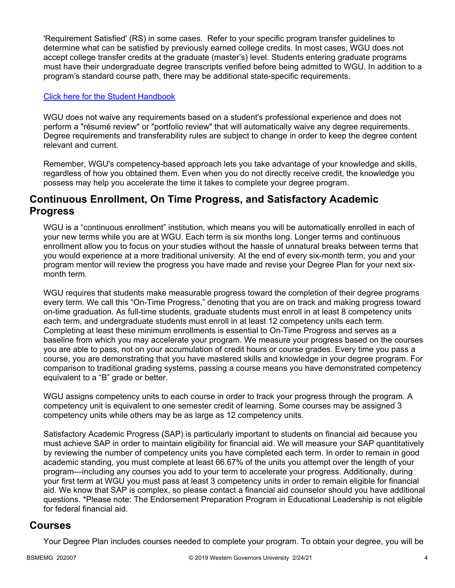'Requirement Satisfied' (RS) in some cases. Refer to your specific program transfer guidelines to determine what can be satisfied by previously earned college credits. In most cases, WGU does not accept college transfer credits at the graduate (master's) level. Students entering graduate programs must have their undergraduate degree transcripts verified before being admitted to WGU. In addition to a program's standard course path, there may be additional state-specific requirements.

#### [Click here for the Student Handbook](http://cm.wgu.edu/)

WGU does not waive any requirements based on a student's professional experience and does not perform a "résumé review" or "portfolio review" that will automatically waive any degree requirements. Degree requirements and transferability rules are subject to change in order to keep the degree content relevant and current.

Remember, WGU's competency-based approach lets you take advantage of your knowledge and skills, regardless of how you obtained them. Even when you do not directly receive credit, the knowledge you possess may help you accelerate the time it takes to complete your degree program.

### **Continuous Enrollment, On Time Progress, and Satisfactory Academic Progress**

WGU is a "continuous enrollment" institution, which means you will be automatically enrolled in each of your new terms while you are at WGU. Each term is six months long. Longer terms and continuous enrollment allow you to focus on your studies without the hassle of unnatural breaks between terms that you would experience at a more traditional university. At the end of every six-month term, you and your program mentor will review the progress you have made and revise your Degree Plan for your next sixmonth term.

WGU requires that students make measurable progress toward the completion of their degree programs every term. We call this "On-Time Progress," denoting that you are on track and making progress toward on-time graduation. As full-time students, graduate students must enroll in at least 8 competency units each term, and undergraduate students must enroll in at least 12 competency units each term. Completing at least these minimum enrollments is essential to On-Time Progress and serves as a baseline from which you may accelerate your program. We measure your progress based on the courses you are able to pass, not on your accumulation of credit hours or course grades. Every time you pass a course, you are demonstrating that you have mastered skills and knowledge in your degree program. For comparison to traditional grading systems, passing a course means you have demonstrated competency equivalent to a "B" grade or better.

WGU assigns competency units to each course in order to track your progress through the program. A competency unit is equivalent to one semester credit of learning. Some courses may be assigned 3 competency units while others may be as large as 12 competency units.

Satisfactory Academic Progress (SAP) is particularly important to students on financial aid because you must achieve SAP in order to maintain eligibility for financial aid. We will measure your SAP quantitatively by reviewing the number of competency units you have completed each term. In order to remain in good academic standing, you must complete at least 66.67% of the units you attempt over the length of your program—including any courses you add to your term to accelerate your progress. Additionally, during your first term at WGU you must pass at least 3 competency units in order to remain eligible for financial aid. We know that SAP is complex, so please contact a financial aid counselor should you have additional questions. \*Please note: The Endorsement Preparation Program in Educational Leadership is not eligible for federal financial aid.

### **Courses**

Your Degree Plan includes courses needed to complete your program. To obtain your degree, you will be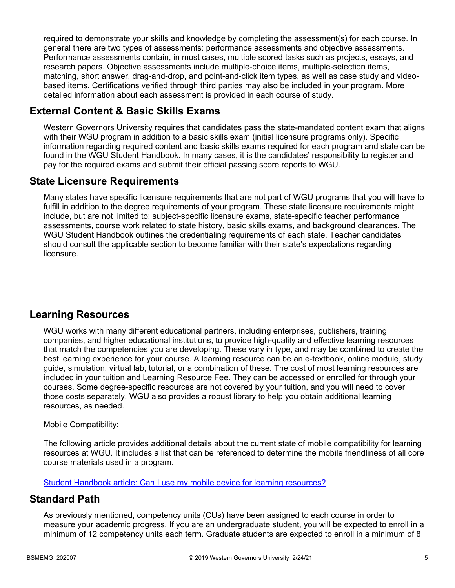required to demonstrate your skills and knowledge by completing the assessment(s) for each course. In general there are two types of assessments: performance assessments and objective assessments. Performance assessments contain, in most cases, multiple scored tasks such as projects, essays, and research papers. Objective assessments include multiple-choice items, multiple-selection items, matching, short answer, drag-and-drop, and point-and-click item types, as well as case study and videobased items. Certifications verified through third parties may also be included in your program. More detailed information about each assessment is provided in each course of study.

## **External Content & Basic Skills Exams**

Western Governors University requires that candidates pass the state-mandated content exam that aligns with their WGU program in addition to a basic skills exam (initial licensure programs only). Specific information regarding required content and basic skills exams required for each program and state can be found in the WGU Student Handbook. In many cases, it is the candidates' responsibility to register and pay for the required exams and submit their official passing score reports to WGU.

## **State Licensure Requirements**

Many states have specific licensure requirements that are not part of WGU programs that you will have to fulfill in addition to the degree requirements of your program. These state licensure requirements might include, but are not limited to: subject-specific licensure exams, state-specific teacher performance assessments, course work related to state history, basic skills exams, and background clearances. The WGU Student Handbook outlines the credentialing requirements of each state. Teacher candidates should consult the applicable section to become familiar with their state's expectations regarding licensure.

## **Learning Resources**

WGU works with many different educational partners, including enterprises, publishers, training companies, and higher educational institutions, to provide high-quality and effective learning resources that match the competencies you are developing. These vary in type, and may be combined to create the best learning experience for your course. A learning resource can be an e-textbook, online module, study guide, simulation, virtual lab, tutorial, or a combination of these. The cost of most learning resources are included in your tuition and Learning Resource Fee. They can be accessed or enrolled for through your courses. Some degree-specific resources are not covered by your tuition, and you will need to cover those costs separately. WGU also provides a robust library to help you obtain additional learning resources, as needed.

#### Mobile Compatibility:

The following article provides additional details about the current state of mobile compatibility for learning resources at WGU. It includes a list that can be referenced to determine the mobile friendliness of all core course materials used in a program.

[Student Handbook article: Can I use my mobile device for learning resources?](https://cm.wgu.edu/t5/Frequently-Asked-Questions/Can-I-use-my-mobile-device-for-learning-resources/ta-p/396)

## **Standard Path**

As previously mentioned, competency units (CUs) have been assigned to each course in order to measure your academic progress. If you are an undergraduate student, you will be expected to enroll in a minimum of 12 competency units each term. Graduate students are expected to enroll in a minimum of 8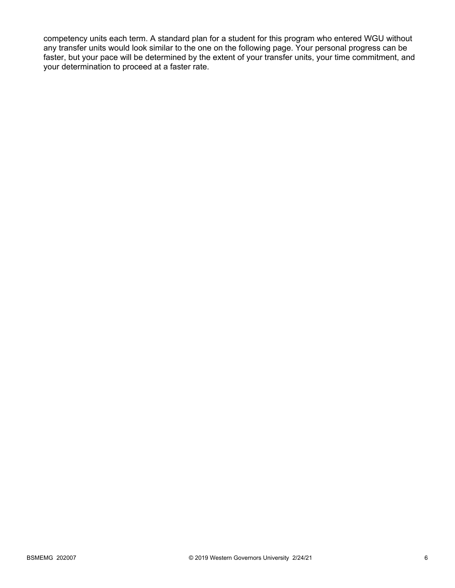competency units each term. A standard plan for a student for this program who entered WGU without any transfer units would look similar to the one on the following page. Your personal progress can be faster, but your pace will be determined by the extent of your transfer units, your time commitment, and your determination to proceed at a faster rate.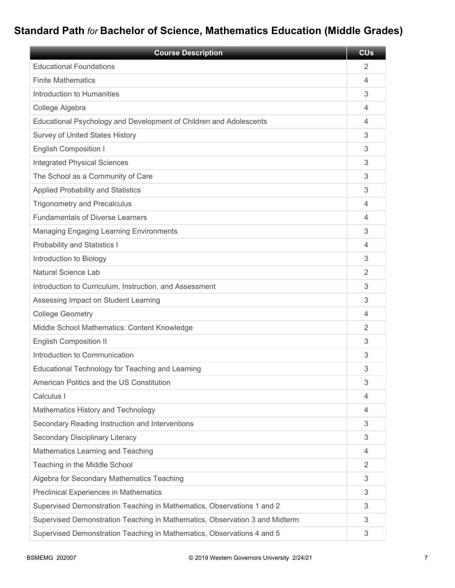# **Standard Path** *for* **Bachelor of Science, Mathematics Education (Middle Grades)**

| <b>Course Description</b>                                                   | <b>CU<sub>s</sub></b> |
|-----------------------------------------------------------------------------|-----------------------|
| <b>Educational Foundations</b>                                              | $\overline{2}$        |
| <b>Finite Mathematics</b>                                                   | 4                     |
| Introduction to Humanities                                                  | 3                     |
| College Algebra                                                             | 4                     |
| Educational Psychology and Development of Children and Adolescents          | 4                     |
| Survey of United States History                                             | 3                     |
| <b>English Composition I</b>                                                | 3                     |
| <b>Integrated Physical Sciences</b>                                         | 3                     |
| The School as a Community of Care                                           | 3                     |
| <b>Applied Probability and Statistics</b>                                   | 3                     |
| <b>Trigonometry and Precalculus</b>                                         | 4                     |
| <b>Fundamentals of Diverse Learners</b>                                     | 4                     |
| <b>Managing Engaging Learning Environments</b>                              | 3                     |
| Probability and Statistics I                                                | 4                     |
| Introduction to Biology                                                     | 3                     |
| <b>Natural Science Lab</b>                                                  | 2                     |
| Introduction to Curriculum, Instruction, and Assessment                     | 3                     |
| Assessing Impact on Student Learning                                        | 3                     |
| <b>College Geometry</b>                                                     | 4                     |
| Middle School Mathematics: Content Knowledge                                | 2                     |
| <b>English Composition II</b>                                               | 3                     |
| Introduction to Communication                                               | 3                     |
| Educational Technology for Teaching and Learning                            | 3                     |
| American Politics and the US Constitution                                   | 3                     |
| Calculus I                                                                  | 4                     |
| Mathematics History and Technology                                          | $\overline{4}$        |
| Secondary Reading Instruction and Interventions                             | 3                     |
| Secondary Disciplinary Literacy                                             | 3                     |
| Mathematics Learning and Teaching                                           | 4                     |
| Teaching in the Middle School                                               | 2                     |
| Algebra for Secondary Mathematics Teaching                                  | 3                     |
| <b>Preclinical Experiences in Mathematics</b>                               | 3                     |
| Supervised Demonstration Teaching in Mathematics, Observations 1 and 2      | 3                     |
| Supervised Demonstration Teaching in Mathematics, Observation 3 and Midterm | 3                     |
| Supervised Demonstration Teaching in Mathematics, Observations 4 and 5      | 3                     |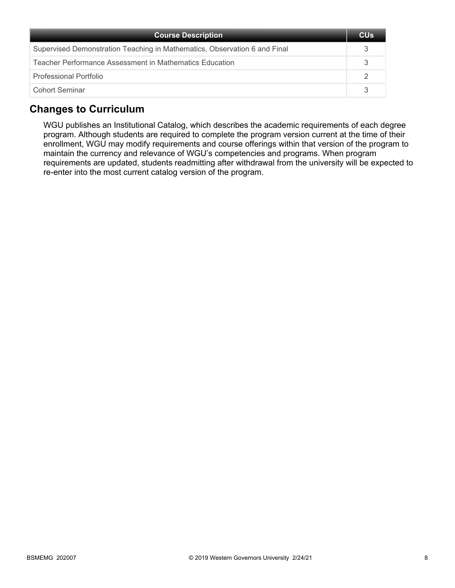| <b>Course Description</b>                                                 | <b>CU<sub>s</sub></b> |
|---------------------------------------------------------------------------|-----------------------|
| Supervised Demonstration Teaching in Mathematics, Observation 6 and Final |                       |
| Teacher Performance Assessment in Mathematics Education                   |                       |
| Professional Portfolio                                                    |                       |
| Cohort Seminar                                                            |                       |

## **Changes to Curriculum**

WGU publishes an Institutional Catalog, which describes the academic requirements of each degree program. Although students are required to complete the program version current at the time of their enrollment, WGU may modify requirements and course offerings within that version of the program to maintain the currency and relevance of WGU's competencies and programs. When program requirements are updated, students readmitting after withdrawal from the university will be expected to re-enter into the most current catalog version of the program.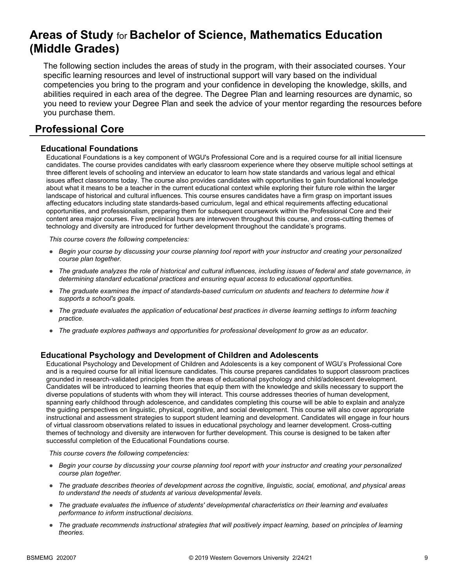# **Areas of Study** for **Bachelor of Science, Mathematics Education (Middle Grades)**

The following section includes the areas of study in the program, with their associated courses. Your specific learning resources and level of instructional support will vary based on the individual competencies you bring to the program and your confidence in developing the knowledge, skills, and abilities required in each area of the degree. The Degree Plan and learning resources are dynamic, so you need to review your Degree Plan and seek the advice of your mentor regarding the resources before you purchase them.

## **Professional Core**

#### **Educational Foundations**

Educational Foundations is a key component of WGU's Professional Core and is a required course for all initial licensure candidates. The course provides candidates with early classroom experience where they observe multiple school settings at three different levels of schooling and interview an educator to learn how state standards and various legal and ethical issues affect classrooms today. The course also provides candidates with opportunities to gain foundational knowledge about what it means to be a teacher in the current educational context while exploring their future role within the larger landscape of historical and cultural influences. This course ensures candidates have a firm grasp on important issues affecting educators including state standards-based curriculum, legal and ethical requirements affecting educational opportunities, and professionalism, preparing them for subsequent coursework within the Professional Core and their content area major courses. Five preclinical hours are interwoven throughout this course, and cross-cutting themes of technology and diversity are introduced for further development throughout the candidate's programs.

*This course covers the following competencies:*

- *Begin your course by discussing your course planning tool report with your instructor and creating your personalized course plan together.*
- *The graduate analyzes the role of historical and cultural influences, including issues of federal and state governance, in determining standard educational practices and ensuring equal access to educational opportunities.*
- *The graduate examines the impact of standards-based curriculum on students and teachers to determine how it supports a school's goals.*
- *The graduate evaluates the application of educational best practices in diverse learning settings to inform teaching practice.*
- *The graduate explores pathways and opportunities for professional development to grow as an educator.*

#### **Educational Psychology and Development of Children and Adolescents**

Educational Psychology and Development of Children and Adolescents is a key component of WGU's Professional Core and is a required course for all initial licensure candidates. This course prepares candidates to support classroom practices grounded in research-validated principles from the areas of educational psychology and child/adolescent development. Candidates will be introduced to learning theories that equip them with the knowledge and skills necessary to support the diverse populations of students with whom they will interact. This course addresses theories of human development, spanning early childhood through adolescence, and candidates completing this course will be able to explain and analyze the guiding perspectives on linguistic, physical, cognitive, and social development. This course will also cover appropriate instructional and assessment strategies to support student learning and development. Candidates will engage in four hours of virtual classroom observations related to issues in educational psychology and learner development. Cross-cutting themes of technology and diversity are interwoven for further development. This course is designed to be taken after successful completion of the Educational Foundations course.

- *Begin your course by discussing your course planning tool report with your instructor and creating your personalized course plan together.*
- *The graduate describes theories of development across the cognitive, linguistic, social, emotional, and physical areas to understand the needs of students at various developmental levels.*
- *The graduate evaluates the influence of students' developmental characteristics on their learning and evaluates performance to inform instructional decisions.*
- *The graduate recommends instructional strategies that will positively impact learning, based on principles of learning theories.*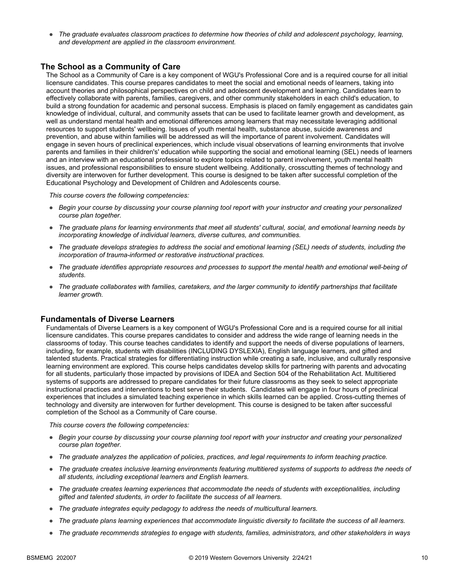● *The graduate evaluates classroom practices to determine how theories of child and adolescent psychology, learning, and development are applied in the classroom environment.*

#### **The School as a Community of Care**

The School as a Community of Care is a key component of WGU's Professional Core and is a required course for all initial licensure candidates. This course prepares candidates to meet the social and emotional needs of learners, taking into account theories and philosophical perspectives on child and adolescent development and learning. Candidates learn to effectively collaborate with parents, families, caregivers, and other community stakeholders in each child's education, to build a strong foundation for academic and personal success. Emphasis is placed on family engagement as candidates gain knowledge of individual, cultural, and community assets that can be used to facilitate learner growth and development, as well as understand mental health and emotional differences among learners that may necessitate leveraging additional resources to support students' wellbeing. Issues of youth mental health, substance abuse, suicide awareness and prevention, and abuse within families will be addressed as will the importance of parent involvement. Candidates will engage in seven hours of preclinical experiences, which include visual observations of learning environments that involve parents and families in their children's' education while supporting the social and emotional learning (SEL) needs of learners and an interview with an educational professional to explore topics related to parent involvement, youth mental health issues, and professional responsibilities to ensure student wellbeing. Additionally, crosscutting themes of technology and diversity are interwoven for further development. This course is designed to be taken after successful completion of the Educational Psychology and Development of Children and Adolescents course.

*This course covers the following competencies:*

- *Begin your course by discussing your course planning tool report with your instructor and creating your personalized course plan together.*
- *The graduate plans for learning environments that meet all students' cultural, social, and emotional learning needs by incorporating knowledge of individual learners, diverse cultures, and communities.*
- *The graduate develops strategies to address the social and emotional learning (SEL) needs of students, including the incorporation of trauma-informed or restorative instructional practices.*
- *The graduate identifies appropriate resources and processes to support the mental health and emotional well-being of students.*
- *The graduate collaborates with families, caretakers, and the larger community to identify partnerships that facilitate learner growth.*

#### **Fundamentals of Diverse Learners**

Fundamentals of Diverse Learners is a key component of WGU's Professional Core and is a required course for all initial licensure candidates. This course prepares candidates to consider and address the wide range of learning needs in the classrooms of today. This course teaches candidates to identify and support the needs of diverse populations of learners, including, for example, students with disabilities (INCLUDING DYSLEXIA), English language learners, and gifted and talented students. Practical strategies for differentiating instruction while creating a safe, inclusive, and culturally responsive learning environment are explored. This course helps candidates develop skills for partnering with parents and advocating for all students, particularly those impacted by provisions of IDEA and Section 504 of the Rehabilitation Act. Multitiered systems of supports are addressed to prepare candidates for their future classrooms as they seek to select appropriate instructional practices and interventions to best serve their students. Candidates will engage in four hours of preclinical experiences that includes a simulated teaching experience in which skills learned can be applied. Cross-cutting themes of technology and diversity are interwoven for further development. This course is designed to be taken after successful completion of the School as a Community of Care course.

- *Begin your course by discussing your course planning tool report with your instructor and creating your personalized course plan together.*
- *The graduate analyzes the application of policies, practices, and legal requirements to inform teaching practice.*
- *The graduate creates inclusive learning environments featuring multitiered systems of supports to address the needs of all students, including exceptional learners and English learners.*
- *The graduate creates learning experiences that accommodate the needs of students with exceptionalities, including gifted and talented students, in order to facilitate the success of all learners.*
- *The graduate integrates equity pedagogy to address the needs of multicultural learners.*
- *The graduate plans learning experiences that accommodate linguistic diversity to facilitate the success of all learners.*
- *The graduate recommends strategies to engage with students, families, administrators, and other stakeholders in ways*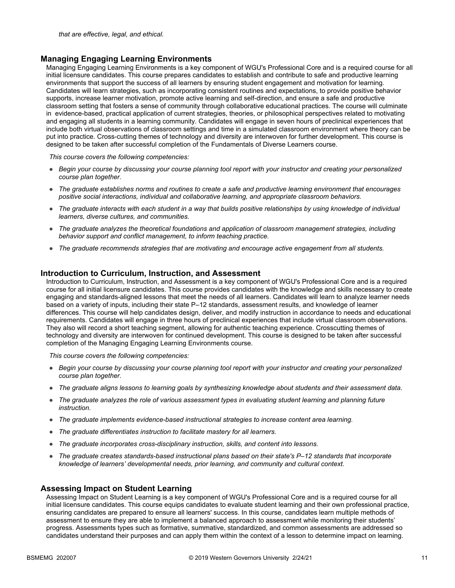#### **Managing Engaging Learning Environments**

Managing Engaging Learning Environments is a key component of WGU's Professional Core and is a required course for all initial licensure candidates. This course prepares candidates to establish and contribute to safe and productive learning environments that support the success of all learners by ensuring student engagement and motivation for learning. Candidates will learn strategies, such as incorporating consistent routines and expectations, to provide positive behavior supports, increase learner motivation, promote active learning and self-direction, and ensure a safe and productive classroom setting that fosters a sense of community through collaborative educational practices. The course will culminate in evidence-based, practical application of current strategies, theories, or philosophical perspectives related to motivating and engaging all students in a learning community. Candidates will engage in seven hours of preclinical experiences that include both virtual observations of classroom settings and time in a simulated classroom environment where theory can be put into practice. Cross-cutting themes of technology and diversity are interwoven for further development. This course is designed to be taken after successful completion of the Fundamentals of Diverse Learners course.

*This course covers the following competencies:*

- *Begin your course by discussing your course planning tool report with your instructor and creating your personalized course plan together.*
- *The graduate establishes norms and routines to create a safe and productive learning environment that encourages positive social interactions, individual and collaborative learning, and appropriate classroom behaviors.*
- *The graduate interacts with each student in a way that builds positive relationships by using knowledge of individual learners, diverse cultures, and communities.*
- *The graduate analyzes the theoretical foundations and application of classroom management strategies, including behavior support and conflict management, to inform teaching practice.*
- *The graduate recommends strategies that are motivating and encourage active engagement from all students.*

#### **Introduction to Curriculum, Instruction, and Assessment**

Introduction to Curriculum, Instruction, and Assessment is a key component of WGU's Professional Core and is a required course for all initial licensure candidates. This course provides candidates with the knowledge and skills necessary to create engaging and standards-aligned lessons that meet the needs of all learners. Candidates will learn to analyze learner needs based on a variety of inputs, including their state P–12 standards, assessment results, and knowledge of learner differences. This course will help candidates design, deliver, and modify instruction in accordance to needs and educational requirements. Candidates will engage in three hours of preclinical experiences that include virtual classroom observations. They also will record a short teaching segment, allowing for authentic teaching experience. Crosscutting themes of technology and diversity are interwoven for continued development. This course is designed to be taken after successful completion of the Managing Engaging Learning Environments course.

*This course covers the following competencies:*

- *Begin your course by discussing your course planning tool report with your instructor and creating your personalized course plan together.*
- *The graduate aligns lessons to learning goals by synthesizing knowledge about students and their assessment data.*
- *The graduate analyzes the role of various assessment types in evaluating student learning and planning future instruction.*
- *The graduate implements evidence-based instructional strategies to increase content area learning.*
- *The graduate differentiates instruction to facilitate mastery for all learners.*
- *The graduate incorporates cross-disciplinary instruction, skills, and content into lessons.*
- *The graduate creates standards-based instructional plans based on their state's P–12 standards that incorporate knowledge of learners' developmental needs, prior learning, and community and cultural context.*

#### **Assessing Impact on Student Learning**

Assessing Impact on Student Learning is a key component of WGU's Professional Core and is a required course for all initial licensure candidates. This course equips candidates to evaluate student learning and their own professional practice, ensuring candidates are prepared to ensure all learners' success. In this course, candidates learn multiple methods of assessment to ensure they are able to implement a balanced approach to assessment while monitoring their students' progress. Assessments types such as formative, summative, standardized, and common assessments are addressed so candidates understand their purposes and can apply them within the context of a lesson to determine impact on learning.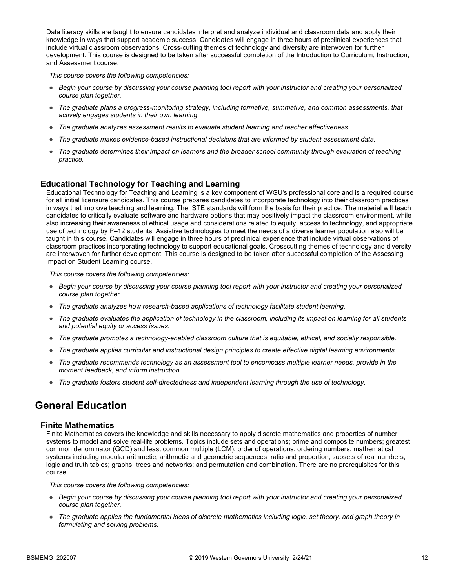Data literacy skills are taught to ensure candidates interpret and analyze individual and classroom data and apply their knowledge in ways that support academic success. Candidates will engage in three hours of preclinical experiences that include virtual classroom observations. Cross-cutting themes of technology and diversity are interwoven for further development. This course is designed to be taken after successful completion of the Introduction to Curriculum, Instruction, and Assessment course.

*This course covers the following competencies:*

- *Begin your course by discussing your course planning tool report with your instructor and creating your personalized course plan together.*
- *The graduate plans a progress-monitoring strategy, including formative, summative, and common assessments, that actively engages students in their own learning.*
- *The graduate analyzes assessment results to evaluate student learning and teacher effectiveness.*
- *The graduate makes evidence-based instructional decisions that are informed by student assessment data.*
- *The graduate determines their impact on learners and the broader school community through evaluation of teaching practice.*

#### **Educational Technology for Teaching and Learning**

Educational Technology for Teaching and Learning is a key component of WGU's professional core and is a required course for all initial licensure candidates. This course prepares candidates to incorporate technology into their classroom practices in ways that improve teaching and learning. The ISTE standards will form the basis for their practice. The material will teach candidates to critically evaluate software and hardware options that may positively impact the classroom environment, while also increasing their awareness of ethical usage and considerations related to equity, access to technology, and appropriate use of technology by P–12 students. Assistive technologies to meet the needs of a diverse learner population also will be taught in this course. Candidates will engage in three hours of preclinical experience that include virtual observations of classroom practices incorporating technology to support educational goals. Crosscutting themes of technology and diversity are interwoven for further development. This course is designed to be taken after successful completion of the Assessing Impact on Student Learning course.

*This course covers the following competencies:*

- *Begin your course by discussing your course planning tool report with your instructor and creating your personalized course plan together.*
- *The graduate analyzes how research-based applications of technology facilitate student learning.*
- *The graduate evaluates the application of technology in the classroom, including its impact on learning for all students and potential equity or access issues.*
- *The graduate promotes a technology-enabled classroom culture that is equitable, ethical, and socially responsible.*
- *The graduate applies curricular and instructional design principles to create effective digital learning environments.*
- *The graduate recommends technology as an assessment tool to encompass multiple learner needs, provide in the moment feedback, and inform instruction.*
- *The graduate fosters student self-directedness and independent learning through the use of technology.*

## **General Education**

#### **Finite Mathematics**

Finite Mathematics covers the knowledge and skills necessary to apply discrete mathematics and properties of number systems to model and solve real-life problems. Topics include sets and operations; prime and composite numbers; greatest common denominator (GCD) and least common multiple (LCM); order of operations; ordering numbers; mathematical systems including modular arithmetic, arithmetic and geometric sequences; ratio and proportion; subsets of real numbers; logic and truth tables; graphs; trees and networks; and permutation and combination. There are no prerequisites for this course.

- *Begin your course by discussing your course planning tool report with your instructor and creating your personalized course plan together.*
- *The graduate applies the fundamental ideas of discrete mathematics including logic, set theory, and graph theory in formulating and solving problems.*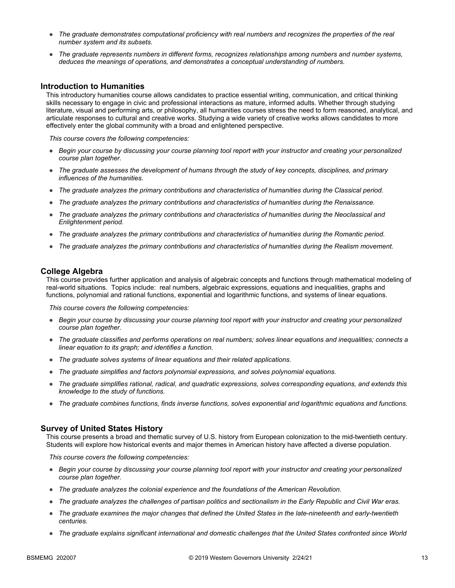- *The graduate demonstrates computational proficiency with real numbers and recognizes the properties of the real number system and its subsets.*
- *The graduate represents numbers in different forms, recognizes relationships among numbers and number systems, deduces the meanings of operations, and demonstrates a conceptual understanding of numbers.*

#### **Introduction to Humanities**

This introductory humanities course allows candidates to practice essential writing, communication, and critical thinking skills necessary to engage in civic and professional interactions as mature, informed adults. Whether through studying literature, visual and performing arts, or philosophy, all humanities courses stress the need to form reasoned, analytical, and articulate responses to cultural and creative works. Studying a wide variety of creative works allows candidates to more effectively enter the global community with a broad and enlightened perspective.

*This course covers the following competencies:*

- *Begin your course by discussing your course planning tool report with your instructor and creating your personalized course plan together.*
- *The graduate assesses the development of humans through the study of key concepts, disciplines, and primary influences of the humanities.*
- *The graduate analyzes the primary contributions and characteristics of humanities during the Classical period.*
- *The graduate analyzes the primary contributions and characteristics of humanities during the Renaissance.*
- *The graduate analyzes the primary contributions and characteristics of humanities during the Neoclassical and Enlightenment period.*
- *The graduate analyzes the primary contributions and characteristics of humanities during the Romantic period.*
- *The graduate analyzes the primary contributions and characteristics of humanities during the Realism movement.*

#### **College Algebra**

This course provides further application and analysis of algebraic concepts and functions through mathematical modeling of real-world situations. Topics include: real numbers, algebraic expressions, equations and inequalities, graphs and functions, polynomial and rational functions, exponential and logarithmic functions, and systems of linear equations.

*This course covers the following competencies:*

- *Begin your course by discussing your course planning tool report with your instructor and creating your personalized course plan together.*
- *The graduate classifies and performs operations on real numbers; solves linear equations and inequalities; connects a linear equation to its graph; and identifies a function.*
- *The graduate solves systems of linear equations and their related applications.*
- *The graduate simplifies and factors polynomial expressions, and solves polynomial equations.*
- *The graduate simplifies rational, radical, and quadratic expressions, solves corresponding equations, and extends this knowledge to the study of functions.*
- *The graduate combines functions, finds inverse functions, solves exponential and logarithmic equations and functions.*

#### **Survey of United States History**

This course presents a broad and thematic survey of U.S. history from European colonization to the mid-twentieth century. Students will explore how historical events and major themes in American history have affected a diverse population.

- *Begin your course by discussing your course planning tool report with your instructor and creating your personalized course plan together.*
- *The graduate analyzes the colonial experience and the foundations of the American Revolution.*
- *The graduate analyzes the challenges of partisan politics and sectionalism in the Early Republic and Civil War eras.*
- *The graduate examines the major changes that defined the United States in the late-nineteenth and early-twentieth centuries.*
- *The graduate explains significant international and domestic challenges that the United States confronted since World*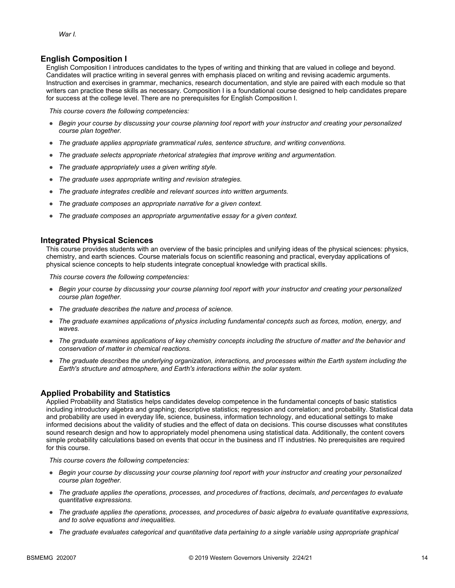#### **English Composition I**

English Composition I introduces candidates to the types of writing and thinking that are valued in college and beyond. Candidates will practice writing in several genres with emphasis placed on writing and revising academic arguments. Instruction and exercises in grammar, mechanics, research documentation, and style are paired with each module so that writers can practice these skills as necessary. Composition I is a foundational course designed to help candidates prepare for success at the college level. There are no prerequisites for English Composition I.

*This course covers the following competencies:*

- *Begin your course by discussing your course planning tool report with your instructor and creating your personalized course plan together.*
- *The graduate applies appropriate grammatical rules, sentence structure, and writing conventions.*
- *The graduate selects appropriate rhetorical strategies that improve writing and argumentation.*
- *The graduate appropriately uses a given writing style.*
- *The graduate uses appropriate writing and revision strategies.*
- *The graduate integrates credible and relevant sources into written arguments.*
- *The graduate composes an appropriate narrative for a given context.*
- *The graduate composes an appropriate argumentative essay for a given context.*

#### **Integrated Physical Sciences**

This course provides students with an overview of the basic principles and unifying ideas of the physical sciences: physics, chemistry, and earth sciences. Course materials focus on scientific reasoning and practical, everyday applications of physical science concepts to help students integrate conceptual knowledge with practical skills.

*This course covers the following competencies:*

- *Begin your course by discussing your course planning tool report with your instructor and creating your personalized course plan together.*
- *The graduate describes the nature and process of science.*
- *The graduate examines applications of physics including fundamental concepts such as forces, motion, energy, and waves.*
- *The graduate examines applications of key chemistry concepts including the structure of matter and the behavior and conservation of matter in chemical reactions.*
- *The graduate describes the underlying organization, interactions, and processes within the Earth system including the Earth's structure and atmosphere, and Earth's interactions within the solar system.*

#### **Applied Probability and Statistics**

Applied Probability and Statistics helps candidates develop competence in the fundamental concepts of basic statistics including introductory algebra and graphing; descriptive statistics; regression and correlation; and probability. Statistical data and probability are used in everyday life, science, business, information technology, and educational settings to make informed decisions about the validity of studies and the effect of data on decisions. This course discusses what constitutes sound research design and how to appropriately model phenomena using statistical data. Additionally, the content covers simple probability calculations based on events that occur in the business and IT industries. No prerequisites are required for this course.

- *Begin your course by discussing your course planning tool report with your instructor and creating your personalized course plan together.*
- *The graduate applies the operations, processes, and procedures of fractions, decimals, and percentages to evaluate quantitative expressions.*
- *The graduate applies the operations, processes, and procedures of basic algebra to evaluate quantitative expressions, and to solve equations and inequalities.*
- *The graduate evaluates categorical and quantitative data pertaining to a single variable using appropriate graphical*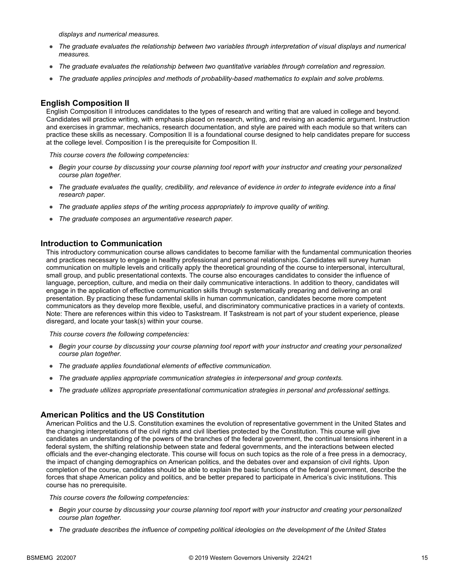*displays and numerical measures.*

- *The graduate evaluates the relationship between two variables through interpretation of visual displays and numerical measures.*
- *The graduate evaluates the relationship between two quantitative variables through correlation and regression.*
- *The graduate applies principles and methods of probability-based mathematics to explain and solve problems.*

#### **English Composition II**

English Composition II introduces candidates to the types of research and writing that are valued in college and beyond. Candidates will practice writing, with emphasis placed on research, writing, and revising an academic argument. Instruction and exercises in grammar, mechanics, research documentation, and style are paired with each module so that writers can practice these skills as necessary. Composition II is a foundational course designed to help candidates prepare for success at the college level. Composition I is the prerequisite for Composition II.

*This course covers the following competencies:*

- *Begin your course by discussing your course planning tool report with your instructor and creating your personalized course plan together.*
- *The graduate evaluates the quality, credibility, and relevance of evidence in order to integrate evidence into a final research paper.*
- *The graduate applies steps of the writing process appropriately to improve quality of writing.*
- *The graduate composes an argumentative research paper.*

#### **Introduction to Communication**

This introductory communication course allows candidates to become familiar with the fundamental communication theories and practices necessary to engage in healthy professional and personal relationships. Candidates will survey human communication on multiple levels and critically apply the theoretical grounding of the course to interpersonal, intercultural, small group, and public presentational contexts. The course also encourages candidates to consider the influence of language, perception, culture, and media on their daily communicative interactions. In addition to theory, candidates will engage in the application of effective communication skills through systematically preparing and delivering an oral presentation. By practicing these fundamental skills in human communication, candidates become more competent communicators as they develop more flexible, useful, and discriminatory communicative practices in a variety of contexts. Note: There are references within this video to Taskstream. If Taskstream is not part of your student experience, please disregard, and locate your task(s) within your course.

*This course covers the following competencies:*

- *Begin your course by discussing your course planning tool report with your instructor and creating your personalized course plan together.*
- *The graduate applies foundational elements of effective communication.*
- *The graduate applies appropriate communication strategies in interpersonal and group contexts.*
- *The graduate utilizes appropriate presentational communication strategies in personal and professional settings.*

#### **American Politics and the US Constitution**

American Politics and the U.S. Constitution examines the evolution of representative government in the United States and the changing interpretations of the civil rights and civil liberties protected by the Constitution. This course will give candidates an understanding of the powers of the branches of the federal government, the continual tensions inherent in a federal system, the shifting relationship between state and federal governments, and the interactions between elected officials and the ever-changing electorate. This course will focus on such topics as the role of a free press in a democracy, the impact of changing demographics on American politics, and the debates over and expansion of civil rights. Upon completion of the course, candidates should be able to explain the basic functions of the federal government, describe the forces that shape American policy and politics, and be better prepared to participate in America's civic institutions. This course has no prerequisite.

- *Begin your course by discussing your course planning tool report with your instructor and creating your personalized course plan together.*
- *The graduate describes the influence of competing political ideologies on the development of the United States*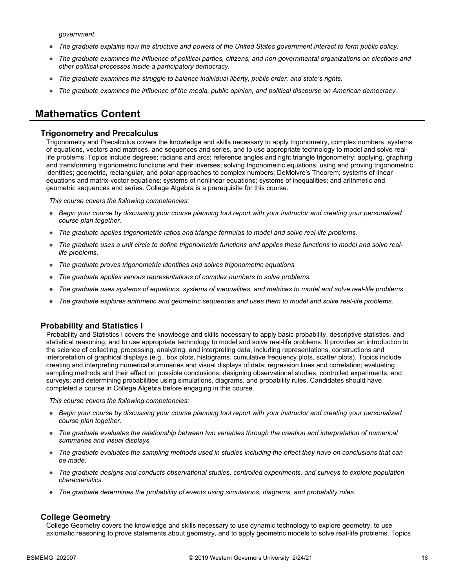*government.*

- *The graduate explains how the structure and powers of the United States government interact to form public policy.*
- *The graduate examines the influence of political parties, citizens, and non-governmental organizations on elections and other political processes inside a participatory democracy.*
- *The graduate examines the struggle to balance individual liberty, public order, and state's rights.*
- *The graduate examines the influence of the media, public opinion, and political discourse on American democracy.*

### **Mathematics Content**

#### **Trigonometry and Precalculus**

Trigonometry and Precalculus covers the knowledge and skills necessary to apply trigonometry, complex numbers, systems of equations, vectors and matrices, and sequences and series, and to use appropriate technology to model and solve reallife problems. Topics include degrees; radians and arcs; reference angles and right triangle trigonometry; applying, graphing and transforming trigonometric functions and their inverses; solving trigonometric equations; using and proving trigonometric identities; geometric, rectangular, and polar approaches to complex numbers; DeMoivre's Theorem; systems of linear equations and matrix-vector equations; systems of nonlinear equations; systems of inequalities; and arithmetic and geometric sequences and series. College Algebra is a prerequisite for this course.

*This course covers the following competencies:*

- *Begin your course by discussing your course planning tool report with your instructor and creating your personalized course plan together.*
- *The graduate applies trigonometric ratios and triangle formulas to model and solve real-life problems.*
- *The graduate uses a unit circle to define trigonometric functions and applies these functions to model and solve reallife problems.*
- *The graduate proves trigonometric identities and solves trigonometric equations.*
- *The graduate applies various representations of complex numbers to solve problems.*
- *The graduate uses systems of equations, systems of inequalities, and matrices to model and solve real-life problems.*
- *The graduate explores arithmetic and geometric sequences and uses them to model and solve real-life problems.*

#### **Probability and Statistics I**

Probability and Statistics I covers the knowledge and skills necessary to apply basic probability, descriptive statistics, and statistical reasoning, and to use appropriate technology to model and solve real-life problems. It provides an introduction to the science of collecting, processing, analyzing, and interpreting data, including representations, constructions and interpretation of graphical displays (e.g., box plots, histograms, cumulative frequency plots, scatter plots). Topics include creating and interpreting numerical summaries and visual displays of data; regression lines and correlation; evaluating sampling methods and their effect on possible conclusions; designing observational studies, controlled experiments, and surveys; and determining probabilities using simulations, diagrams, and probability rules. Candidates should have completed a course in College Algebra before engaging in this course.

*This course covers the following competencies:*

- *Begin your course by discussing your course planning tool report with your instructor and creating your personalized course plan together.*
- *The graduate evaluates the relationship between two variables through the creation and interpretation of numerical summaries and visual displays.*
- *The graduate evaluates the sampling methods used in studies including the effect they have on conclusions that can be made.*
- *The graduate designs and conducts observational studies, controlled experiments, and surveys to explore population characteristics.*
- *The graduate determines the probability of events using simulations, diagrams, and probability rules.*

#### **College Geometry**

College Geometry covers the knowledge and skills necessary to use dynamic technology to explore geometry, to use axiomatic reasoning to prove statements about geometry, and to apply geometric models to solve real-life problems. Topics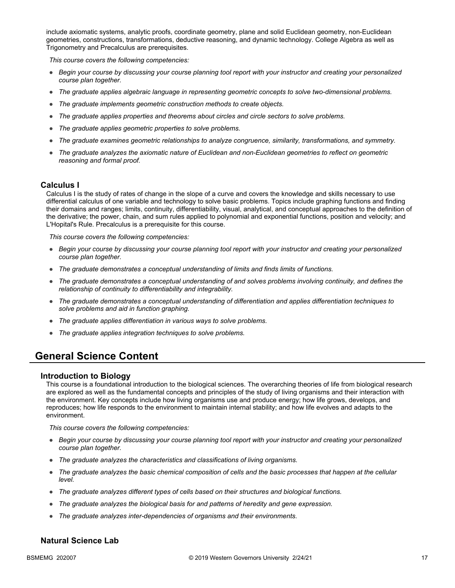include axiomatic systems, analytic proofs, coordinate geometry, plane and solid Euclidean geometry, non-Euclidean geometries, constructions, transformations, deductive reasoning, and dynamic technology. College Algebra as well as Trigonometry and Precalculus are prerequisites.

*This course covers the following competencies:*

- *Begin your course by discussing your course planning tool report with your instructor and creating your personalized course plan together.*
- *The graduate applies algebraic language in representing geometric concepts to solve two-dimensional problems.*
- *The graduate implements geometric construction methods to create objects.*
- *The graduate applies properties and theorems about circles and circle sectors to solve problems.*
- *The graduate applies geometric properties to solve problems.*
- *The graduate examines geometric relationships to analyze congruence, similarity, transformations, and symmetry.*
- *The graduate analyzes the axiomatic nature of Euclidean and non-Euclidean geometries to reflect on geometric reasoning and formal proof.*

#### **Calculus I**

Calculus I is the study of rates of change in the slope of a curve and covers the knowledge and skills necessary to use differential calculus of one variable and technology to solve basic problems. Topics include graphing functions and finding their domains and ranges; limits, continuity, differentiability, visual, analytical, and conceptual approaches to the definition of the derivative; the power, chain, and sum rules applied to polynomial and exponential functions, position and velocity; and L'Hopital's Rule. Precalculus is a prerequisite for this course.

*This course covers the following competencies:*

- *Begin your course by discussing your course planning tool report with your instructor and creating your personalized course plan together.*
- *The graduate demonstrates a conceptual understanding of limits and finds limits of functions.*
- *The graduate demonstrates a conceptual understanding of and solves problems involving continuity, and defines the relationship of continuity to differentiability and integrability.*
- *The graduate demonstrates a conceptual understanding of differentiation and applies differentiation techniques to solve problems and aid in function graphing.*
- *The graduate applies differentiation in various ways to solve problems.*
- *The graduate applies integration techniques to solve problems.*

## **General Science Content**

#### **Introduction to Biology**

This course is a foundational introduction to the biological sciences. The overarching theories of life from biological research are explored as well as the fundamental concepts and principles of the study of living organisms and their interaction with the environment. Key concepts include how living organisms use and produce energy; how life grows, develops, and reproduces; how life responds to the environment to maintain internal stability; and how life evolves and adapts to the environment.

*This course covers the following competencies:*

- *Begin your course by discussing your course planning tool report with your instructor and creating your personalized course plan together.*
- *The graduate analyzes the characteristics and classifications of living organisms.*
- *The graduate analyzes the basic chemical composition of cells and the basic processes that happen at the cellular level.*
- *The graduate analyzes different types of cells based on their structures and biological functions.*
- *The graduate analyzes the biological basis for and patterns of heredity and gene expression.*
- *The graduate analyzes inter-dependencies of organisms and their environments.*

#### **Natural Science Lab**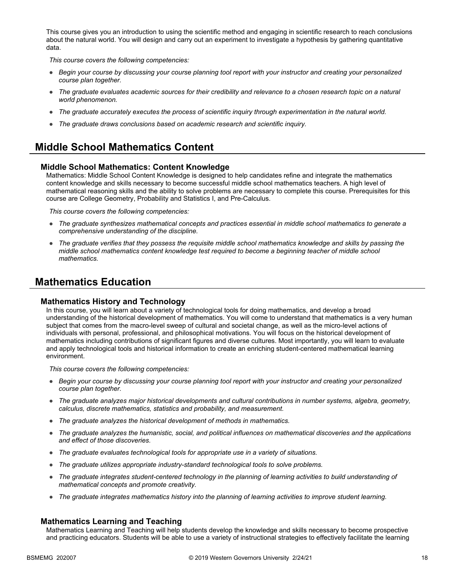This course gives you an introduction to using the scientific method and engaging in scientific research to reach conclusions about the natural world. You will design and carry out an experiment to investigate a hypothesis by gathering quantitative data.

*This course covers the following competencies:*

- *Begin your course by discussing your course planning tool report with your instructor and creating your personalized course plan together.*
- The graduate evaluates academic sources for their credibility and relevance to a chosen research topic on a natural *world phenomenon.*
- *The graduate accurately executes the process of scientific inquiry through experimentation in the natural world.*
- *The graduate draws conclusions based on academic research and scientific inquiry.*

## **Middle School Mathematics Content**

#### **Middle School Mathematics: Content Knowledge**

Mathematics: Middle School Content Knowledge is designed to help candidates refine and integrate the mathematics content knowledge and skills necessary to become successful middle school mathematics teachers. A high level of mathematical reasoning skills and the ability to solve problems are necessary to complete this course. Prerequisites for this course are College Geometry, Probability and Statistics I, and Pre-Calculus.

*This course covers the following competencies:*

- *The graduate synthesizes mathematical concepts and practices essential in middle school mathematics to generate a comprehensive understanding of the discipline.*
- *The graduate verifies that they possess the requisite middle school mathematics knowledge and skills by passing the middle school mathematics content knowledge test required to become a beginning teacher of middle school mathematics.*

## **Mathematics Education**

#### **Mathematics History and Technology**

In this course, you will learn about a variety of technological tools for doing mathematics, and develop a broad understanding of the historical development of mathematics. You will come to understand that mathematics is a very human subject that comes from the macro-level sweep of cultural and societal change, as well as the micro-level actions of individuals with personal, professional, and philosophical motivations. You will focus on the historical development of mathematics including contributions of significant figures and diverse cultures. Most importantly, you will learn to evaluate and apply technological tools and historical information to create an enriching student-centered mathematical learning environment.

*This course covers the following competencies:*

- *Begin your course by discussing your course planning tool report with your instructor and creating your personalized course plan together.*
- *The graduate analyzes major historical developments and cultural contributions in number systems, algebra, geometry, calculus, discrete mathematics, statistics and probability, and measurement.*
- *The graduate analyzes the historical development of methods in mathematics.*
- *The graduate analyzes the humanistic, social, and political influences on mathematical discoveries and the applications and effect of those discoveries.*
- *The graduate evaluates technological tools for appropriate use in a variety of situations.*
- *The graduate utilizes appropriate industry-standard technological tools to solve problems.*
- *The graduate integrates student-centered technology in the planning of learning activities to build understanding of mathematical concepts and promote creativity.*
- *The graduate integrates mathematics history into the planning of learning activities to improve student learning.*

#### **Mathematics Learning and Teaching**

Mathematics Learning and Teaching will help students develop the knowledge and skills necessary to become prospective and practicing educators. Students will be able to use a variety of instructional strategies to effectively facilitate the learning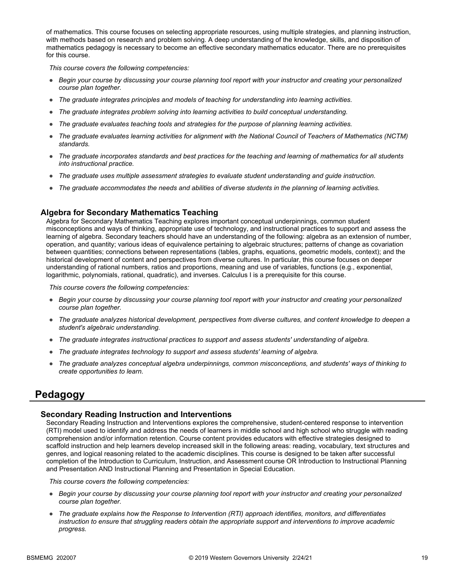of mathematics. This course focuses on selecting appropriate resources, using multiple strategies, and planning instruction, with methods based on research and problem solving. A deep understanding of the knowledge, skills, and disposition of mathematics pedagogy is necessary to become an effective secondary mathematics educator. There are no prerequisites for this course.

*This course covers the following competencies:*

- *Begin your course by discussing your course planning tool report with your instructor and creating your personalized course plan together.*
- *The graduate integrates principles and models of teaching for understanding into learning activities.*
- *The graduate integrates problem solving into learning activities to build conceptual understanding.*
- *The graduate evaluates teaching tools and strategies for the purpose of planning learning activities.*
- *The graduate evaluates learning activities for alignment with the National Council of Teachers of Mathematics (NCTM) standards.*
- *The graduate incorporates standards and best practices for the teaching and learning of mathematics for all students into instructional practice.*
- *The graduate uses multiple assessment strategies to evaluate student understanding and guide instruction.*
- *The graduate accommodates the needs and abilities of diverse students in the planning of learning activities.*

#### **Algebra for Secondary Mathematics Teaching**

Algebra for Secondary Mathematics Teaching explores important conceptual underpinnings, common student misconceptions and ways of thinking, appropriate use of technology, and instructional practices to support and assess the learning of algebra. Secondary teachers should have an understanding of the following: algebra as an extension of number, operation, and quantity; various ideas of equivalence pertaining to algebraic structures; patterns of change as covariation between quantities; connections between representations (tables, graphs, equations, geometric models, context); and the historical development of content and perspectives from diverse cultures. In particular, this course focuses on deeper understanding of rational numbers, ratios and proportions, meaning and use of variables, functions (e.g., exponential, logarithmic, polynomials, rational, quadratic), and inverses. Calculus I is a prerequisite for this course.

*This course covers the following competencies:*

- *Begin your course by discussing your course planning tool report with your instructor and creating your personalized course plan together.*
- *The graduate analyzes historical development, perspectives from diverse cultures, and content knowledge to deepen a student's algebraic understanding.*
- *The graduate integrates instructional practices to support and assess students' understanding of algebra.*
- *The graduate integrates technology to support and assess students' learning of algebra.*
- *The graduate analyzes conceptual algebra underpinnings, common misconceptions, and students' ways of thinking to create opportunities to learn.*

### **Pedagogy**

#### **Secondary Reading Instruction and Interventions**

Secondary Reading Instruction and Interventions explores the comprehensive, student-centered response to intervention (RTI) model used to identify and address the needs of learners in middle school and high school who struggle with reading comprehension and/or information retention. Course content provides educators with effective strategies designed to scaffold instruction and help learners develop increased skill in the following areas: reading, vocabulary, text structures and genres, and logical reasoning related to the academic disciplines. This course is designed to be taken after successful completion of the Introduction to Curriculum, Instruction, and Assessment course OR Introduction to Instructional Planning and Presentation AND Instructional Planning and Presentation in Special Education.

- *Begin your course by discussing your course planning tool report with your instructor and creating your personalized course plan together.*
- *The graduate explains how the Response to Intervention (RTI) approach identifies, monitors, and differentiates instruction to ensure that struggling readers obtain the appropriate support and interventions to improve academic progress.*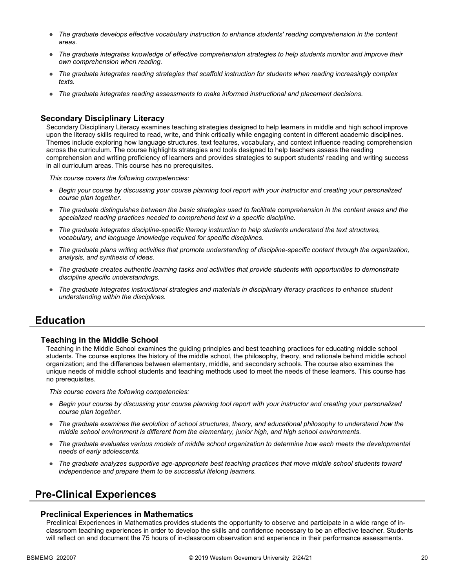- *The graduate develops effective vocabulary instruction to enhance students' reading comprehension in the content areas.*
- *The graduate integrates knowledge of effective comprehension strategies to help students monitor and improve their own comprehension when reading.*
- *The graduate integrates reading strategies that scaffold instruction for students when reading increasingly complex texts.*
- *The graduate integrates reading assessments to make informed instructional and placement decisions.*

#### **Secondary Disciplinary Literacy**

Secondary Disciplinary Literacy examines teaching strategies designed to help learners in middle and high school improve upon the literacy skills required to read, write, and think critically while engaging content in different academic disciplines. Themes include exploring how language structures, text features, vocabulary, and context influence reading comprehension across the curriculum. The course highlights strategies and tools designed to help teachers assess the reading comprehension and writing proficiency of learners and provides strategies to support students' reading and writing success in all curriculum areas. This course has no prerequisites.

*This course covers the following competencies:*

- *Begin your course by discussing your course planning tool report with your instructor and creating your personalized course plan together.*
- *The graduate distinguishes between the basic strategies used to facilitate comprehension in the content areas and the specialized reading practices needed to comprehend text in a specific discipline.*
- *The graduate integrates discipline-specific literacy instruction to help students understand the text structures, vocabulary, and language knowledge required for specific disciplines.*
- *The graduate plans writing activities that promote understanding of discipline-specific content through the organization, analysis, and synthesis of ideas.*
- *The graduate creates authentic learning tasks and activities that provide students with opportunities to demonstrate discipline specific understandings.*
- *The graduate integrates instructional strategies and materials in disciplinary literacy practices to enhance student understanding within the disciplines.*

### **Education**

#### **Teaching in the Middle School**

Teaching in the Middle School examines the guiding principles and best teaching practices for educating middle school students. The course explores the history of the middle school, the philosophy, theory, and rationale behind middle school organization; and the differences between elementary, middle, and secondary schools. The course also examines the unique needs of middle school students and teaching methods used to meet the needs of these learners. This course has no prerequisites.

*This course covers the following competencies:*

- *Begin your course by discussing your course planning tool report with your instructor and creating your personalized course plan together.*
- *The graduate examines the evolution of school structures, theory, and educational philosophy to understand how the middle school environment is different from the elementary, junior high, and high school environments.*
- *The graduate evaluates various models of middle school organization to determine how each meets the developmental needs of early adolescents.*
- *The graduate analyzes supportive age-appropriate best teaching practices that move middle school students toward independence and prepare them to be successful lifelong learners.*

### **Pre-Clinical Experiences**

#### **Preclinical Experiences in Mathematics**

Preclinical Experiences in Mathematics provides students the opportunity to observe and participate in a wide range of inclassroom teaching experiences in order to develop the skills and confidence necessary to be an effective teacher. Students will reflect on and document the 75 hours of in-classroom observation and experience in their performance assessments.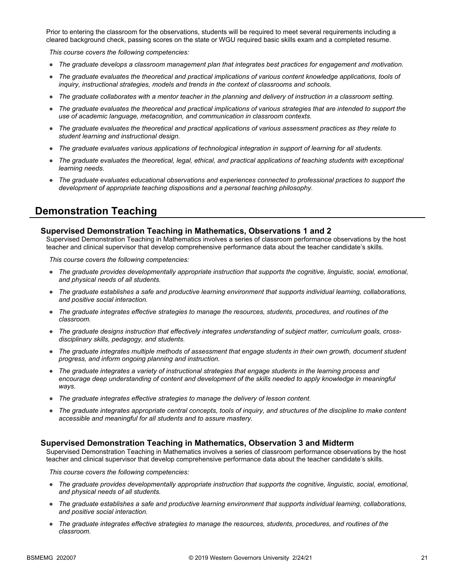Prior to entering the classroom for the observations, students will be required to meet several requirements including a cleared background check, passing scores on the state or WGU required basic skills exam and a completed resume.

*This course covers the following competencies:*

- *The graduate develops a classroom management plan that integrates best practices for engagement and motivation.*
- *The graduate evaluates the theoretical and practical implications of various content knowledge applications, tools of inquiry, instructional strategies, models and trends in the context of classrooms and schools.*
- *The graduate collaborates with a mentor teacher in the planning and delivery of instruction in a classroom setting.*
- *The graduate evaluates the theoretical and practical implications of various strategies that are intended to support the use of academic language, metacognition, and communication in classroom contexts.*
- *The graduate evaluates the theoretical and practical applications of various assessment practices as they relate to student learning and instructional design.*
- *The graduate evaluates various applications of technological integration in support of learning for all students.*
- *The graduate evaluates the theoretical, legal, ethical, and practical applications of teaching students with exceptional learning needs.*
- *The graduate evaluates educational observations and experiences connected to professional practices to support the development of appropriate teaching dispositions and a personal teaching philosophy.*

## **Demonstration Teaching**

#### **Supervised Demonstration Teaching in Mathematics, Observations 1 and 2**

Supervised Demonstration Teaching in Mathematics involves a series of classroom performance observations by the host teacher and clinical supervisor that develop comprehensive performance data about the teacher candidate's skills.

*This course covers the following competencies:*

- *The graduate provides developmentally appropriate instruction that supports the cognitive, linguistic, social, emotional, and physical needs of all students.*
- *The graduate establishes a safe and productive learning environment that supports individual learning, collaborations, and positive social interaction.*
- *The graduate integrates effective strategies to manage the resources, students, procedures, and routines of the classroom.*
- *The graduate designs instruction that effectively integrates understanding of subject matter, curriculum goals, crossdisciplinary skills, pedagogy, and students.*
- *The graduate integrates multiple methods of assessment that engage students in their own growth, document student progress, and inform ongoing planning and instruction.*
- *The graduate integrates a variety of instructional strategies that engage students in the learning process and encourage deep understanding of content and development of the skills needed to apply knowledge in meaningful ways.*
- *The graduate integrates effective strategies to manage the delivery of lesson content.*
- *The graduate integrates appropriate central concepts, tools of inquiry, and structures of the discipline to make content accessible and meaningful for all students and to assure mastery.*

#### **Supervised Demonstration Teaching in Mathematics, Observation 3 and Midterm**

Supervised Demonstration Teaching in Mathematics involves a series of classroom performance observations by the host teacher and clinical supervisor that develop comprehensive performance data about the teacher candidate's skills.

- *The graduate provides developmentally appropriate instruction that supports the cognitive, linguistic, social, emotional, and physical needs of all students.*
- *The graduate establishes a safe and productive learning environment that supports individual learning, collaborations, and positive social interaction.*
- *The graduate integrates effective strategies to manage the resources, students, procedures, and routines of the classroom.*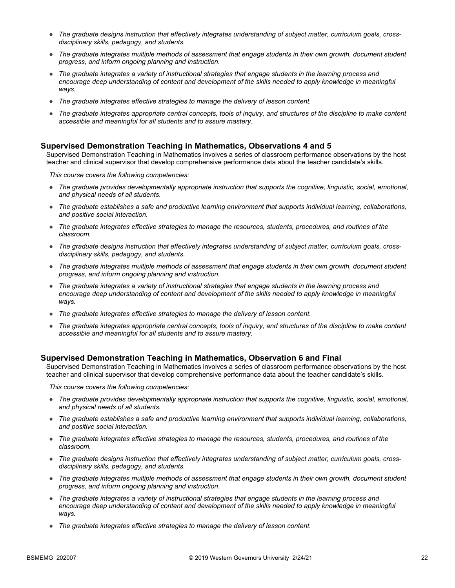- The graduate designs instruction that effectively integrates understanding of subject matter, curriculum goals, cross*disciplinary skills, pedagogy, and students.*
- *The graduate integrates multiple methods of assessment that engage students in their own growth, document student progress, and inform ongoing planning and instruction.*
- *The graduate integrates a variety of instructional strategies that engage students in the learning process and*  encourage deep understanding of content and development of the skills needed to apply knowledge in meaningful *ways.*
- *The graduate integrates effective strategies to manage the delivery of lesson content.*
- *The graduate integrates appropriate central concepts, tools of inquiry, and structures of the discipline to make content accessible and meaningful for all students and to assure mastery.*

#### **Supervised Demonstration Teaching in Mathematics, Observations 4 and 5**

Supervised Demonstration Teaching in Mathematics involves a series of classroom performance observations by the host teacher and clinical supervisor that develop comprehensive performance data about the teacher candidate's skills.

*This course covers the following competencies:*

- *The graduate provides developmentally appropriate instruction that supports the cognitive, linguistic, social, emotional, and physical needs of all students.*
- *The graduate establishes a safe and productive learning environment that supports individual learning, collaborations, and positive social interaction.*
- *The graduate integrates effective strategies to manage the resources, students, procedures, and routines of the classroom.*
- The graduate designs instruction that effectively integrates understanding of subject matter, curriculum goals, cross*disciplinary skills, pedagogy, and students.*
- *The graduate integrates multiple methods of assessment that engage students in their own growth, document student progress, and inform ongoing planning and instruction.*
- *The graduate integrates a variety of instructional strategies that engage students in the learning process and*  encourage deep understanding of content and development of the skills needed to apply knowledge in meaningful *ways.*
- *The graduate integrates effective strategies to manage the delivery of lesson content.*
- *The graduate integrates appropriate central concepts, tools of inquiry, and structures of the discipline to make content accessible and meaningful for all students and to assure mastery.*

#### **Supervised Demonstration Teaching in Mathematics, Observation 6 and Final**

Supervised Demonstration Teaching in Mathematics involves a series of classroom performance observations by the host teacher and clinical supervisor that develop comprehensive performance data about the teacher candidate's skills.

- *The graduate provides developmentally appropriate instruction that supports the cognitive, linguistic, social, emotional, and physical needs of all students.*
- *The graduate establishes a safe and productive learning environment that supports individual learning, collaborations, and positive social interaction.*
- *The graduate integrates effective strategies to manage the resources, students, procedures, and routines of the classroom.*
- The graduate designs instruction that effectively integrates understanding of subject matter, curriculum goals, cross*disciplinary skills, pedagogy, and students.*
- *The graduate integrates multiple methods of assessment that engage students in their own growth, document student progress, and inform ongoing planning and instruction.*
- *The graduate integrates a variety of instructional strategies that engage students in the learning process and*  encourage deep understanding of content and development of the skills needed to apply knowledge in meaningful *ways.*
- *The graduate integrates effective strategies to manage the delivery of lesson content.*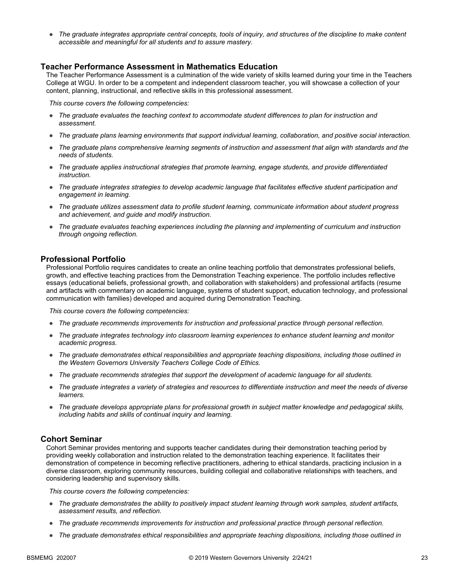● *The graduate integrates appropriate central concepts, tools of inquiry, and structures of the discipline to make content accessible and meaningful for all students and to assure mastery.*

#### **Teacher Performance Assessment in Mathematics Education**

The Teacher Performance Assessment is a culmination of the wide variety of skills learned during your time in the Teachers College at WGU. In order to be a competent and independent classroom teacher, you will showcase a collection of your content, planning, instructional, and reflective skills in this professional assessment.

*This course covers the following competencies:*

- *The graduate evaluates the teaching context to accommodate student differences to plan for instruction and assessment.*
- *The graduate plans learning environments that support individual learning, collaboration, and positive social interaction.*
- *The graduate plans comprehensive learning segments of instruction and assessment that align with standards and the needs of students.*
- *The graduate applies instructional strategies that promote learning, engage students, and provide differentiated instruction.*
- *The graduate integrates strategies to develop academic language that facilitates effective student participation and engagement in learning.*
- *The graduate utilizes assessment data to profile student learning, communicate information about student progress and achievement, and guide and modify instruction.*
- *The graduate evaluates teaching experiences including the planning and implementing of curriculum and instruction through ongoing reflection.*

#### **Professional Portfolio**

Professional Portfolio requires candidates to create an online teaching portfolio that demonstrates professional beliefs, growth, and effective teaching practices from the Demonstration Teaching experience. The portfolio includes reflective essays (educational beliefs, professional growth, and collaboration with stakeholders) and professional artifacts (resume and artifacts with commentary on academic language, systems of student support, education technology, and professional communication with families) developed and acquired during Demonstration Teaching.

*This course covers the following competencies:*

- *The graduate recommends improvements for instruction and professional practice through personal reflection.*
- *The graduate integrates technology into classroom learning experiences to enhance student learning and monitor academic progress.*
- *The graduate demonstrates ethical responsibilities and appropriate teaching dispositions, including those outlined in the Western Governors University Teachers College Code of Ethics.*
- *The graduate recommends strategies that support the development of academic language for all students.*
- *The graduate integrates a variety of strategies and resources to differentiate instruction and meet the needs of diverse learners.*
- *The graduate develops appropriate plans for professional growth in subject matter knowledge and pedagogical skills, including habits and skills of continual inquiry and learning.*

#### **Cohort Seminar**

Cohort Seminar provides mentoring and supports teacher candidates during their demonstration teaching period by providing weekly collaboration and instruction related to the demonstration teaching experience. It facilitates their demonstration of competence in becoming reflective practitioners, adhering to ethical standards, practicing inclusion in a diverse classroom, exploring community resources, building collegial and collaborative relationships with teachers, and considering leadership and supervisory skills.

- *The graduate demonstrates the ability to positively impact student learning through work samples, student artifacts, assessment results, and reflection.*
- *The graduate recommends improvements for instruction and professional practice through personal reflection.*
- *The graduate demonstrates ethical responsibilities and appropriate teaching dispositions, including those outlined in*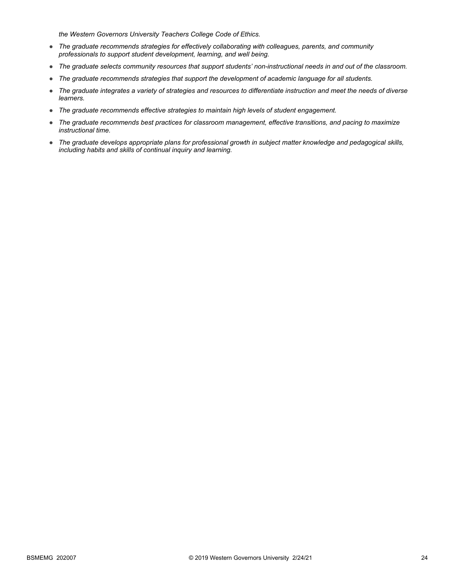*the Western Governors University Teachers College Code of Ethics.*

- *The graduate recommends strategies for effectively collaborating with colleagues, parents, and community professionals to support student development, learning, and well being.*
- *The graduate selects community resources that support students' non-instructional needs in and out of the classroom.*
- *The graduate recommends strategies that support the development of academic language for all students.*
- *The graduate integrates a variety of strategies and resources to differentiate instruction and meet the needs of diverse learners.*
- *The graduate recommends effective strategies to maintain high levels of student engagement.*
- *The graduate recommends best practices for classroom management, effective transitions, and pacing to maximize instructional time.*
- *The graduate develops appropriate plans for professional growth in subject matter knowledge and pedagogical skills, including habits and skills of continual inquiry and learning.*